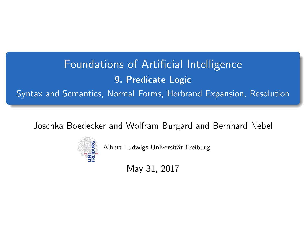# <span id="page-0-0"></span>Foundations of Artificial Intelligence 9. Predicate Logic Syntax and Semantics, Normal Forms, Herbrand Expansion, Resolution

Joschka Boedecker and Wolfram Burgard and Bernhard Nebel



Albert-Ludwigs-Universität Freiburg

May 31, 2017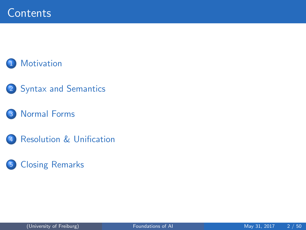## **[Motivation](#page-2-0)**

## 2 [Syntax and Semantics](#page-3-0)

### **[Normal Forms](#page-15-0)**

4 [Resolution & Unification](#page-27-0)

## 5 [Closing Remarks](#page-47-0)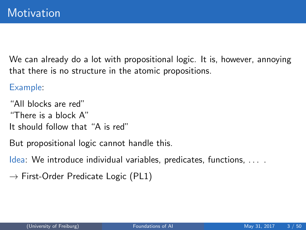<span id="page-2-0"></span>We can already do a lot with propositional logic. It is, however, annoying that there is no structure in the atomic propositions.

Example:

"All blocks are red" "There is a block A" It should follow that "A is red"

But propositional logic cannot handle this.

Idea: We introduce individual variables, predicates, functions, . . . .

 $\rightarrow$  First-Order Predicate Logic (PL1)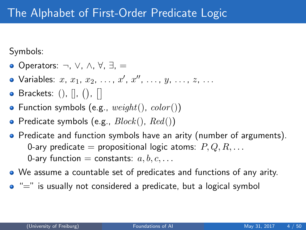<span id="page-3-0"></span>Symbols:

- Operators: ¬, ∨, ∧, ∀, ∃, =
- Variables:  $x, x_1, x_2, \ldots, x', x'', \ldots, y, \ldots, z, \ldots$
- Brackets:  $()$ ,  $[]$ ,  $()$ ,  $[]$
- Function symbols (e.g.,  $weight(),\ color()$ )
- Predicate symbols (e.g.,  $Block(), Red()$ )
- Predicate and function symbols have an arity (number of arguments). 0-ary predicate = propositional logic atoms:  $P, Q, R, \ldots$ 0-ary function = constants:  $a, b, c, \ldots$
- We assume a countable set of predicates and functions of any arity.
- $\bullet$  " $=$ " is usually not considered a predicate, but a logical symbol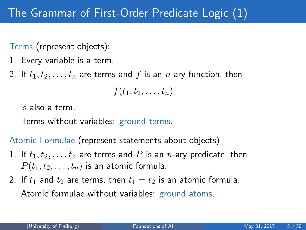Terms (represent objects):

- 1. Every variable is a term.
- 2. If  $t_1, t_2, \ldots, t_n$  are terms and f is an n-ary function, then

$$
f(t_1,t_2,\ldots,t_n)
$$

is also a term.

Terms without variables: ground terms.

Atomic Formulae (represent statements about objects)

- 1. If  $t_1, t_2, \ldots, t_n$  are terms and P is an *n*-ary predicate, then  $P(t_1, t_2, \ldots, t_n)$  is an atomic formula.
- 2. If  $t_1$  and  $t_2$  are terms, then  $t_1 = t_2$  is an atomic formula. Atomic formulae without variables: ground atoms.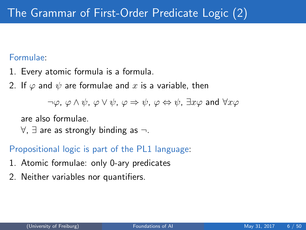### Formulae:

- 1. Every atomic formula is a formula.
- 2. If  $\varphi$  and  $\psi$  are formulae and x is a variable, then

 $\neg \varphi$ ,  $\varphi \wedge \psi$ ,  $\varphi \vee \psi$ ,  $\varphi \Rightarrow \psi$ ,  $\varphi \Leftrightarrow \psi$ ,  $\exists x \varphi$  and  $\forall x \varphi$ 

are also formulae.

 $\forall$ ,  $\exists$  are as strongly binding as  $\neg$ .

### Propositional logic is part of the PL1 language:

- 1. Atomic formulae: only 0-ary predicates
- 2. Neither variables nor quantifiers.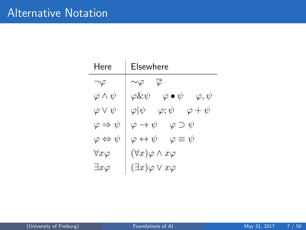| Here                           | Elsewhere                                                      |
|--------------------------------|----------------------------------------------------------------|
| $\neg\varphi$                  | $\bar{\varphi}$<br>$\sim\!\varphi$                             |
| $\varphi \wedge \psi$          | $\varphi \bullet \psi$<br>$\varphi \& \psi$<br>$\varphi, \psi$ |
| $\varphi \vee \psi$            | $\varphi \psi $<br>$\varphi ;\psi$<br>$\varphi + \psi$         |
| $\varphi \Rightarrow \psi$     | $\varphi \to \psi \quad \varphi \supset \psi$                  |
| $\varphi \Leftrightarrow \psi$ | $\varphi \leftrightarrow \psi \quad \varphi \equiv \psi$       |
| $\forall x \varphi$            | $(\forall x)\varphi\wedge x\varphi$                            |
| $\exists x \varphi$            | $(\exists x)\varphi\vee x\varphi$                              |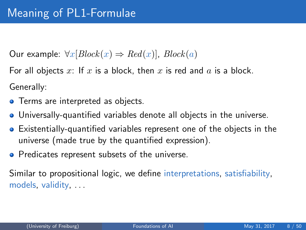Our example:  $\forall x [Block(x) \Rightarrow Red(x)]$ ,  $Block(a)$ 

For all objects x: If x is a block, then x is red and  $a$  is a block. Generally:

- **•** Terms are interpreted as objects.
- Universally-quantified variables denote all objects in the universe.
- Existentially-quantified variables represent one of the objects in the universe (made true by the quantified expression).
- **•** Predicates represent subsets of the universe.

Similar to propositional logic, we define interpretations, satisfiability, models, validity, . . .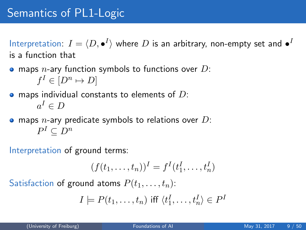# Semantics of PL1-Logic

Interpretation:  $I = \langle D, \bullet^I \rangle$  where  $D$  is an arbitrary, non-empty set and  $\bullet^I$ is a function that

 $\bullet$  maps *n*-ary function symbols to functions over D:  $f^I \in [D^n \mapsto D]$ 

 $\bullet$  maps individual constants to elements of D:  $a^I \in D$ 

 $\bullet$  maps *n*-ary predicate symbols to relations over D:  $P^I \subseteq D^n$ 

Interpretation of ground terms:

$$
(f(t_1,\ldots,t_n))^I=f^I(t_1^I,\ldots,t_n^I)
$$

Satisfaction of ground atoms  $P(t_1, \ldots, t_n)$ :

$$
I \models P(t_1, \ldots, t_n) \text{ iff } \langle t_1^I, \ldots, t_n^I \rangle \in P^I
$$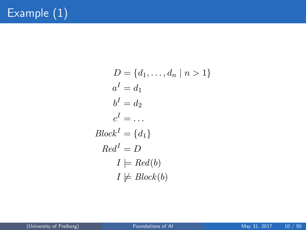$$
D = \{d_1, \dots, d_n \mid n > 1\}
$$
  
\n
$$
a^I = d_1
$$
  
\n
$$
b^I = d_2
$$
  
\n
$$
c^I = \dots
$$
  
\n
$$
Block^I = \{d_1\}
$$
  
\n
$$
Red^I = D
$$
  
\n
$$
I \models Red(b)
$$
  
\n
$$
I \not\models Block(b)
$$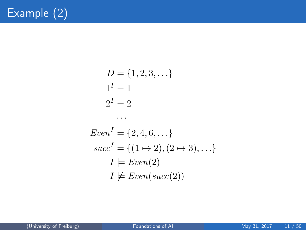$$
D = \{1, 2, 3, \ldots\}
$$
  
1<sup>I</sup> = 1  
2<sup>I</sup> = 2  
...

$$
EvenI = \{2, 4, 6, \ldots\}
$$

$$
succI = \{(1 \mapsto 2), (2 \mapsto 3), \ldots\}
$$

$$
I \models Even(2)
$$

$$
I \not\models Even(succ(2))
$$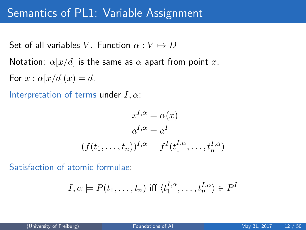## Semantics of PL1: Variable Assignment

Set of all variables V. Function  $\alpha: V \mapsto D$ Notation:  $\alpha[x/d]$  is the same as  $\alpha$  apart from point x.

For  $x : \alpha[x/d](x) = d$ .

Interpretation of terms under  $I, \alpha$ :

$$
x^{I,\alpha} = \alpha(x)
$$

$$
a^{I,\alpha} = a^I
$$

$$
(f(t_1, \dots, t_n))^{I,\alpha} = f^I(t_1^{I,\alpha}, \dots, t_n^{I,\alpha})
$$

Satisfaction of atomic formulae:

$$
I, \alpha \models P(t_1, \dots, t_n) \text{ iff } \langle t_1^{I, \alpha}, \dots, t_n^{I, \alpha} \rangle \in P^I
$$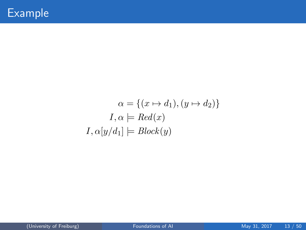$$
\alpha = \{(x \mapsto d_1), (y \mapsto d_2)\}
$$
  

$$
I, \alpha \models Red(x)
$$
  

$$
I, \alpha[y/d_1] \models Block(y)
$$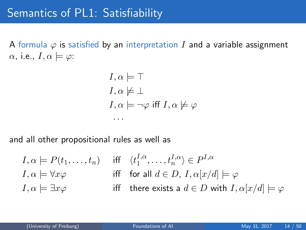A formula  $\varphi$  is satisfied by an interpretation I and a variable assignment  $\alpha$ , i.e.,  $I, \alpha \models \varphi$ :

$$
I, \alpha \models \top
$$
  
\n
$$
I, \alpha \not\models \bot
$$
  
\n
$$
I, \alpha \models \neg \varphi \text{ iff } I, \alpha \not\models \varphi
$$

and all other propositional rules as well as

· · ·

$$
I, \alpha \models P(t_1, \dots, t_n) \quad \text{iff} \quad \langle t_1^{I, \alpha}, \dots, t_n^{I, \alpha} \rangle \in P^{I, \alpha}
$$
\n
$$
I, \alpha \models \forall x \varphi \quad \text{iff} \quad \text{for all } d \in D, I, \alpha[x/d] \models \varphi
$$
\n
$$
I, \alpha \models \exists x \varphi \quad \text{iff} \quad \text{there exists a } d \in D \text{ with } I, \alpha[x/d] \models \varphi
$$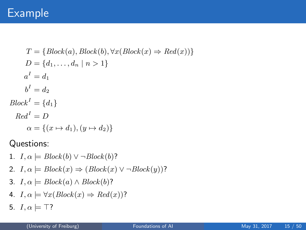## Example

$$
T = \{Block(a), Block(b), \forall x (Block(x) \Rightarrow Red(x)) \}
$$
  
\n
$$
D = \{d_1, ..., d_n | n > 1\}
$$
  
\n
$$
a^I = d_1
$$
  
\n
$$
b^I = d_2
$$
  
\n
$$
Block^I = \{d_1\}
$$
  
\n
$$
Red^I = D
$$
  
\n
$$
\alpha = \{(x \mapsto d_1), (y \mapsto d_2)\}
$$

Questions:

- 1.  $I, \alpha \models Block(b) \vee \neg Block(b)$ ?
- 2.  $I, \alpha \models Block(x) \Rightarrow (Block(x) \vee \neg Block(y))$ ?
- 3.  $I, \alpha \models Block(a) \land Block(b)$ ?
- 4.  $I, \alpha \models \forall x (Block(x) \Rightarrow Red(x))$ ?
- 5.  $I, \alpha \models \top?$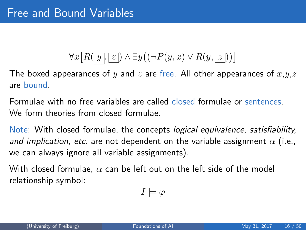# $\forall x \big[ R(\overline{y},\overline{z}) \wedge \exists y ((\neg P(y,x) \vee R(y,\overline{z})) \big)$

<span id="page-15-0"></span>The boxed appearances of y and z are free. All other appearances of  $x,y,z$ are bound.

Formulae with no free variables are called closed formulae or sentences. We form theories from closed formulae.

Note: With closed formulae, the concepts logical equivalence, satisfiability, and implication, etc. are not dependent on the variable assignment  $\alpha$  (i.e., we can always ignore all variable assignments).

With closed formulae,  $\alpha$  can be left out on the left side of the model relationship symbol:

$$
I \models \varphi
$$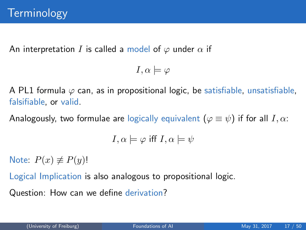An interpretation I is called a model of  $\varphi$  under  $\alpha$  if

$$
I,\alpha \models \varphi
$$

A PL1 formula  $\varphi$  can, as in propositional logic, be satisfiable, unsatisfiable, falsifiable, or valid.

Analogously, two formulae are logically equivalent  $(\varphi \equiv \psi)$  if for all  $I, \alpha$ :

$$
I, \alpha \models \varphi \text{ iff } I, \alpha \models \psi
$$

Note:  $P(x) \neq P(y)!$ 

Logical Implication is also analogous to propositional logic.

Question: How can we define derivation?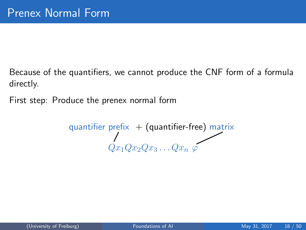Because of the quantifiers, we cannot produce the CNF form of a formula directly.

First step: Produce the prenex normal form

 $\,$ quantifier prefi $\times\,+\,$  (quantifier-free) matri $\times\,$  $Qx_1Qx_2Qx_3\ldots Qx_n$   $\varphi$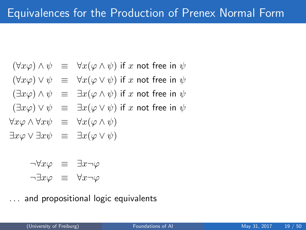$$
(\forall x \varphi) \land \psi \equiv \forall x (\varphi \land \psi) \text{ if } x \text{ not free in } \psi
$$

$$
(\forall x \varphi) \vee \psi \equiv \forall x (\varphi \vee \psi) \text{ if } x \text{ not free in } \psi
$$

$$
(\exists x \varphi) \land \psi \equiv \exists x (\varphi \land \psi) \text{ if } x \text{ not free in } \psi
$$

$$
(\exists x \varphi) \vee \psi \equiv \exists x (\varphi \vee \psi) \text{ if } x \text{ not free in } \psi
$$

$$
\forall x \varphi \land \forall x \psi \equiv \forall x (\varphi \land \psi)
$$

$$
\exists x \varphi \lor \exists x \psi \equiv \exists x (\varphi \lor \psi)
$$

$$
\neg \forall x \varphi \equiv \exists x \neg \varphi
$$
  

$$
\neg \exists x \varphi \equiv \forall x \neg \varphi
$$

. . . and propositional logic equivalents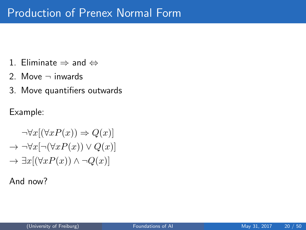- 1. Eliminate  $\Rightarrow$  and  $\Leftrightarrow$
- 2. Move  $\neg$  inwards
- 3. Move quantifiers outwards

Example:

$$
\neg \forall x[(\forall x P(x)) \Rightarrow Q(x)]
$$
  
\n
$$
\rightarrow \neg \forall x[\neg (\forall x P(x)) \lor Q(x)]
$$
  
\n
$$
\rightarrow \exists x[(\forall x P(x)) \land \neg Q(x)]
$$

And now?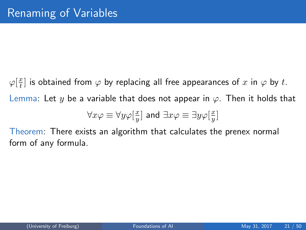$\varphi[\frac{x}{t}]$  $\frac{x}{t}$ ] is obtained from  $\varphi$  by replacing all free appearances of  $x$  in  $\varphi$  by  $t.$ Lemma: Let y be a variable that does not appear in  $\varphi$ . Then it holds that  $\overline{x}$  $\overline{x}$ 

$$
\forall x \varphi \equiv \forall y \varphi[\frac{x}{y}] \text{ and } \exists x \varphi \equiv \exists y \varphi[\frac{x}{y}]
$$

Theorem: There exists an algorithm that calculates the prenex normal form of any formula.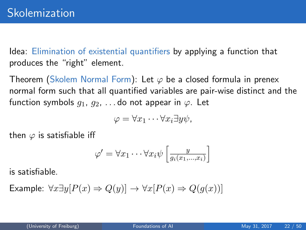Idea: Elimination of existential quantifiers by applying a function that produces the "right" element.

Theorem (Skolem Normal Form): Let  $\varphi$  be a closed formula in prenex normal form such that all quantified variables are pair-wise distinct and the function symbols  $q_1, q_2, \ldots$  do not appear in  $\varphi$ . Let

$$
\varphi = \forall x_1 \cdots \forall x_i \exists y \psi,
$$

then  $\varphi$  is satisfiable iff

$$
\varphi' = \forall x_1 \cdots \forall x_i \psi \left[ \frac{y}{g_i(x_1, \ldots, x_i)} \right]
$$

is satisfiable.

Example:  $\forall x \exists y [P(x) \Rightarrow Q(y)] \rightarrow \forall x [P(x) \Rightarrow Q(g(x))]$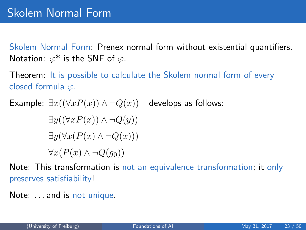Skolem Normal Form: Prenex normal form without existential quantifiers. Notation:  $\varphi^*$  is the SNF of  $\varphi$ .

Theorem: It is possible to calculate the Skolem normal form of every closed formula  $\varphi$ .

Example:  $\exists x((\forall x P(x)) \land \neg Q(x))$  $\exists y((\forall x P(x)) \wedge \neg Q(y))$  $\exists y(\forall x(P(x) \land \neg Q(x)))$  $\forall x(P(x) \land \neg Q(q_0))$ develops as follows:

Note: This transformation is not an equivalence transformation; it only preserves satisfiability!

Note: . . . and is not unique.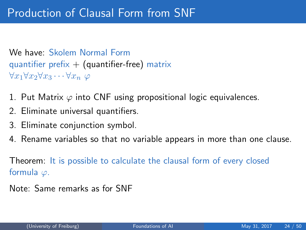We have: Skolem Normal Form quantifier prefix  $+$  (quantifier-free) matrix  $\forall x_1 \forall x_2 \forall x_3 \cdots \forall x_n \varphi$ 

- 1. Put Matrix  $\varphi$  into CNF using propositional logic equivalences.
- 2. Eliminate universal quantifiers.
- 3. Eliminate conjunction symbol.
- 4. Rename variables so that no variable appears in more than one clause.

Theorem: It is possible to calculate the clausal form of every closed formula  $\varphi$ .

Note: Same remarks as for SNF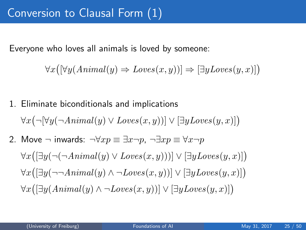Everyone who loves all animals is loved by someone:

$$
\forall x ([\forall y (Animal(y) \Rightarrow Loves(x, y))] \Rightarrow [\exists y Loves(y, x)] )
$$

1. Eliminate biconditionals and implications  $\forall x (\neg [\forall y (\neg Animal(y) \vee Loves(x, y))] \vee [\exists y Loves(y, x)])$ 2. Move  $\neg$  inwards:  $\neg \forall x p \equiv \exists x \neg p$ ,  $\neg \exists x p \equiv \forall x \neg p$  $\forall x([\exists y (\neg(\neg Animal(y) \vee Loves(x,y)))] \vee [\exists y Loves(y,x)])$  $\forall x([\exists y(\neg\neg Animal(y) \land \neg Loves(x,y))] \lor [\exists y Loves(y,x)])$  $\forall x([\exists y(Animal(y) \land \neg Loves(x, y))] \lor [\exists y Loves(y, x)])$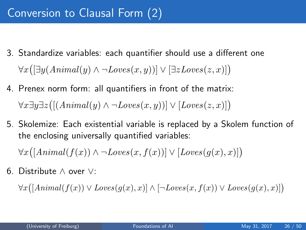- 3. Standardize variables: each quantifier should use a different one  $\forall x([\exists y(Animal(y) \land \neg Loves(x,y))] \lor [\exists z Loves(z,x)])$
- 4. Prenex norm form: all quantifiers in front of the matrix:  $\forall x \exists y \exists z \big( [(Animal(y) \land \neg Loves(x, y))] \lor [Loves(z, x)] \big)$
- 5. Skolemize: Each existential variable is replaced by a Skolem function of the enclosing universally quantified variables:

 $\forall x([Animal(f(x)) \land \neg Loves(x, f(x))] \lor [Loves(g(x), x)])$ 

6. Distribute ∧ over ∨:

 $\forall x([Animal(f(x)) \vee Loves(g(x), x)] \wedge [\neg Loves(x, f(x)) \vee Loves(g(x), x)])$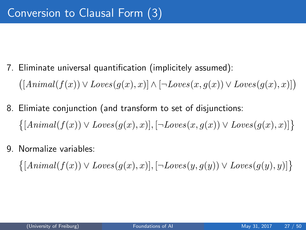- 7. Eliminate universal quantification (implicitely assumed):  $([Animal(f(x)) \vee Loves(g(x), x)] \wedge [\neg Loves(x, g(x)) \vee Loves(g(x), x)])$
- 8. Elimiate conjunction (and transform to set of disjunctions:  $\{[Animal(f(x)) \vee Loves(g(x), x)], [\neg Loves(x, g(x)) \vee Loves(g(x), x)]\}$
- 9. Normalize variables:

 $\{[Animal(f(x)) \vee Loves(g(x), x)], [\neg Loves(y, g(y)) \vee Loves(g(y), y)]\}$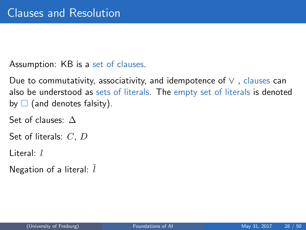<span id="page-27-0"></span>Assumption: KB is a set of clauses.

Due to commutativity, associativity, and idempotence of  $\vee$ , clauses can also be understood as sets of literals. The empty set of literals is denoted by  $\Box$  (and denotes falsity).

Set of clauses: ∆

Set of literals: C, D

Literal: l

Negation of a literal:  $l$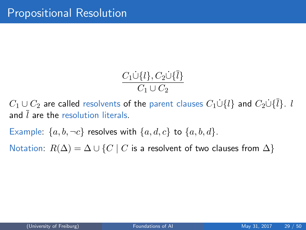$$
\frac{C_1\dot{\cup}\{l\}, C_2\dot{\cup}\{\bar{l}\}}{C_1\cup C_2}
$$

 $C_1 \cup C_2$  are called resolvents of the parent clauses  $C_1 \dot{\cup} \{l\}$  and  $C_2 \dot{\cup} \{l\}$ . l and  $\overline{l}$  are the resolution literals.

Example:  $\{a, b, \neg c\}$  resolves with  $\{a, d, c\}$  to  $\{a, b, d\}$ .

Notation:  $R(\Delta) = \Delta \cup \{C \mid C$  is a resolvent of two clauses from  $\Delta\}$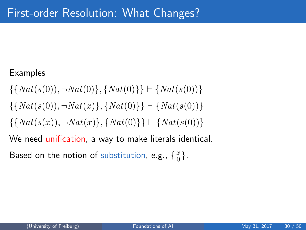### Examples

$$
\{\{Nat(s(0)), \neg Nat(0)\}, \{Nat(0)\}\} \vdash \{Nat(s(0))\}
$$

$$
\{\{Nat(s(0)), \neg Nat(x)\}, \{Nat(0)\}\} \vdash \{Nat(s(0))\}
$$

$$
\{\{Nat(s(x)), \neg Nat(x)\}, \{Nat(0)\}\} \vdash \{Nat(s(0))\}
$$

We need unification, a way to make literals identical.

Based on the notion of substitution, e.g.,  $\{\frac{x}{0}\}$  $\frac{x}{0}$ .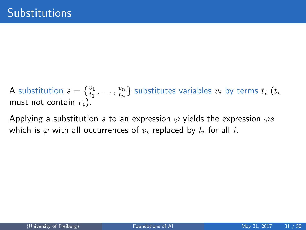A substitution  $s = \{\frac{v_1}{t_1}\}$  $\frac{v_1}{t_1},\ldots,\frac{v_n}{t_n}$  $\left\{\frac{v_n}{t_n}\right\}$  substitutes variables  $v_i$  by terms  $t_i$   $\left(t_i\right)$ must not contain  $v_i$ ).

Applying a substitution s to an expression  $\varphi$  yields the expression  $\varphi s$ which is  $\varphi$  with all occurrences of  $v_i$  replaced by  $t_i$  for all i.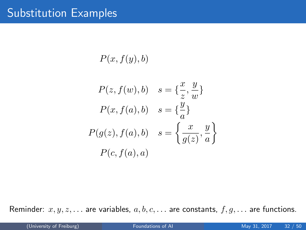$P(x, f(y), b)$ 

$$
P(z, f(w), b) \quad s = \{\frac{x}{z}, \frac{y}{w}\}
$$

$$
P(x, f(a), b) \quad s = \{\frac{y}{a}\}
$$

$$
P(g(z), f(a), b) \quad s = \left\{\frac{x}{g(z)}, \frac{y}{a}\right\}
$$

$$
P(c, f(a), a)
$$

Reminder:  $x, y, z, \ldots$  are variables,  $a, b, c, \ldots$  are constants,  $f, g, \ldots$  are functions.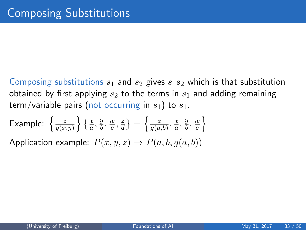Composing substitutions  $s_1$  and  $s_2$  gives  $s_1s_2$  which is that substitution obtained by first applying  $s_2$  to the terms in  $s_1$  and adding remaining term/variable pairs (not occurring in  $s_1$ ) to  $s_1$ .

Example: 
$$
\left\{ \frac{z}{g(x,y)} \right\} \left\{ \frac{x}{a}, \frac{y}{b}, \frac{w}{c}, \frac{z}{d} \right\} = \left\{ \frac{z}{g(a,b)}, \frac{x}{a}, \frac{y}{b}, \frac{w}{c} \right\}
$$
  
Application example:  $P(x, y, z) \rightarrow P(a, b, g(a, b))$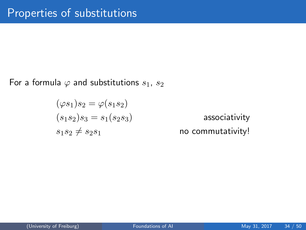For a formula  $\varphi$  and substitutions  $s_1, s_2$ 

$$
(\varphi s_1)s_2 = \varphi(s_1s_2)
$$
  
\n
$$
(s_1s_2)s_3 = s_1(s_2s_3)
$$
  
\n
$$
s_1s_2 \neq s_2s_1
$$

associativity no commutativity!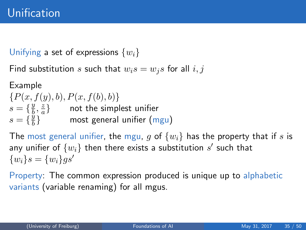Unifying a set of expressions  $\{w_i\}$ 

Find substitution s such that  $w_i s = w_i s$  for all  $i, j$ 

Example  $\{P(x, f(y), b), P(x, f(b), b)\}\$  $s = \left\{\frac{y}{b}\right\}$  $\frac{y}{b}, \frac{z}{a}$  $\left\{\frac{z}{a}\right\}$  not the simplest unifier  $s = \{\frac{y}{b}\}$  $\frac{y}{b}\}$  most general unifier  $(\mathsf{mgu})$ 

The most general unifier, the mgu, g of  $\{w_i\}$  has the property that if s is any unifier of  $\{w_i\}$  then there exists a substitution  $s'$  such that  $\{w_i\} s = \{w_i\} qs'$ 

Property: The common expression produced is unique up to alphabetic variants (variable renaming) for all mgus.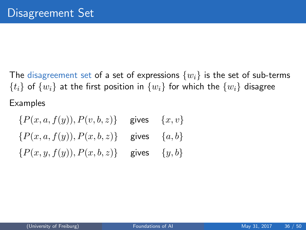The disagreement set of a set of expressions  $\{w_i\}$  is the set of sub-terms  $\{t_i\}$  of  $\{w_i\}$  at the first position in  $\{w_i\}$  for which the  $\{w_i\}$  disagree Examples

 ${P(x, a, f(y)), P(v, b, z)}$  gives  ${x, v}$  ${P(x, a, f(y)), P(x, b, z)}$  gives  ${a, b}$  ${P(x, y, f(y)), P(x, b, z)}$  gives  ${y, b}$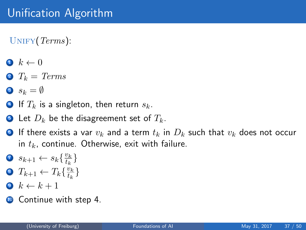$UNIFY(Terms):$ 

- $\bullet \, k \leftarrow 0$
- $2 T_k = Terms$
- 3  $s_k = \emptyset$
- 4 If  $T_k$  is a singleton, then return  $s_k$ .
- **Let**  $D_k$  be the disagreement set of  $T_k$ .
- **•** If there exists a var  $v_k$  and a term  $t_k$  in  $D_k$  such that  $v_k$  does not occur in  $t_k$ , continue. Otherwise, exit with failure.
- 7  $s_{k+1} \leftarrow s_k \left\{ \frac{v_k}{t_k} \right\}$  $\frac{v_k}{t_k}\}$
- 8  $T_{k+1} \leftarrow T_k \{\frac{v_k}{t_k}\}$  $\frac{v_k}{t_k}\}$
- $\bullet \ k \leftarrow k + 1$
- **10** Continue with step 4.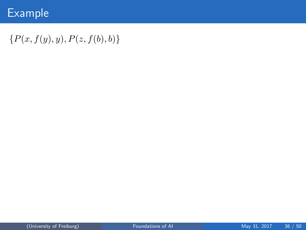## Example

## ${P(x, f(y), y), P(z, f(b), b)}$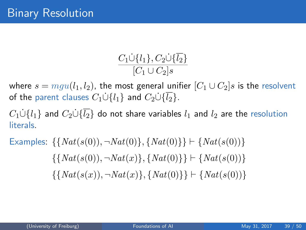$$
\frac{C_1\dot{\cup}{l_1}, C_2\dot{\cup}\{\overline{l_2}\}}{[C_1\cup C_2]s}
$$

where  $s = mgu(l_1, l_2)$ , the most general unifier  $[C_1 \cup C_2]$ s is the resolvent of the parent clauses  $C_1 \dot{\cup} \{l_1\}$  and  $C_2 \dot{\cup} \{\overline{l_2}\}\$ .

 $C_1 \cup \{l_1\}$  and  $C_2 \cup \{\overline{l_2}\}\$  do not share variables  $l_1$  and  $l_2$  are the resolution literals.

Examples: 
$$
\{\{Nat(s(0)), \neg Nat(0)\}, \{Nat(0)\}\} \vdash \{Nat(s(0))\}
$$

$$
\{\{Nat(s(0)), \neg Nat(x)\}, \{Nat(0)\}\} \vdash \{Nat(s(0))\}
$$

$$
\{\{Nat(s(x)), \neg Nat(x)\}, \{Nat(0)\}\} \vdash \{Nat(s(0))\}
$$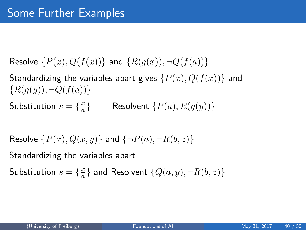Resolve  $\{P(x), Q(f(x))\}$  and  $\{R(q(x)), \neg Q(f(a))\}$ 

Standardizing the variables apart gives  $\{P(x), Q(f(x))\}$  and  ${R(q(y), \neg Q(f(a))}$ 

Substitution  $s = \{\frac{x}{a}\}$ a Resolvent  ${P(a), R(q(y))}$ 

Resolve  $\{P(x), Q(x, y)\}\$  and  $\{\neg P(a), \neg R(b, z)\}\$ 

Standardizing the variables apart

Substitution  $s = \{\frac{x}{a}\}$  $\frac{x}{a} \}$  and Resolvent  $\{Q(a,y), \neg R(b,z)\}$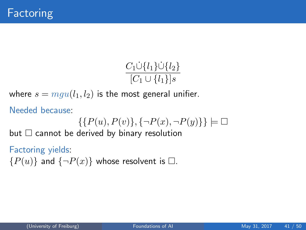$$
\frac{C_1 \dot{\cup} \{l_1\} \dot{\cup} \{l_2\}}{[C_1 \cup \{l_1\}]s}
$$

where  $s = mgu(l_1, l_2)$  is the most general unifier.

Needed because:

$$
\{\{P(u),P(v)\},\{\neg P(x),\neg P(y)\}\}\models\Box
$$

but  $\Box$  cannot be derived by binary resolution

#### Factoring yields:

 ${P(u)}$  and  ${\neg P(x)}$  whose resolvent is  $\square$ .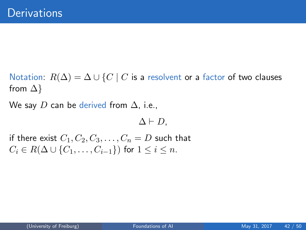Notation:  $R(\Delta) = \Delta \cup \{C \mid C$  is a resolvent or a factor of two clauses from  $\Delta$ }

We say D can be derived from  $\Delta$ , i.e.,

 $\Delta \vdash D$ ,

if there exist  $C_1, C_2, C_3, \ldots, C_n = D$  such that  $C_i \in R(\Delta \cup \{C_1, \ldots, C_{i-1}\})$  for  $1 \leq i \leq n$ .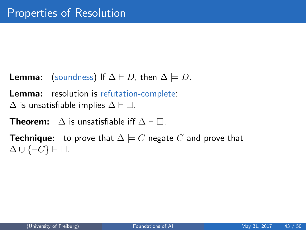- **Lemma:** (soundness) If  $\Delta \vdash D$ , then  $\Delta \models D$ .
- Lemma: resolution is refutation-complete:
- $\Delta$  is unsatisfiable implies  $\Delta \vdash \Box$ .
- **Theorem:**  $\Delta$  is unsatisfiable iff  $\Delta \vdash \Box$ .
- **Technique:** to prove that  $\Delta \models C$  negate C and prove that  $\Delta \cup \{\neg C\} \vdash \Box.$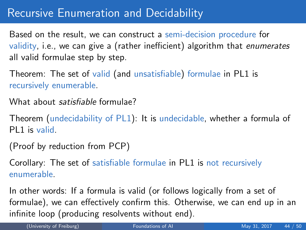## Recursive Enumeration and Decidability

Based on the result, we can construct a semi-decision procedure for validity, i.e., we can give a (rather inefficient) algorithm that enumerates all valid formulae step by step.

Theorem: The set of valid (and unsatisfiable) formulae in PL1 is recursively enumerable.

What about *satisfiable* formulae?

Theorem (undecidability of PL1): It is undecidable, whether a formula of PL1 is valid.

(Proof by reduction from PCP)

Corollary: The set of satisfiable formulae in PL1 is not recursively enumerable.

In other words: If a formula is valid (or follows logically from a set of formulae), we can effectively confirm this. Otherwise, we can end up in an infinite loop (producing resolvents without end).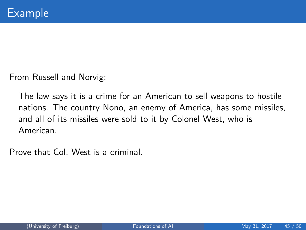From Russell and Norvig:

The law says it is a crime for an American to sell weapons to hostile nations. The country Nono, an enemy of America, has some missiles, and all of its missiles were sold to it by Colonel West, who is American.

Prove that Col. West is a criminal.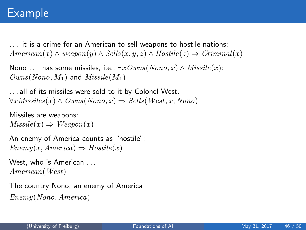## Example

. . . it is a crime for an American to sell weapons to hostile nations:  $American(x) \wedge weapon(y) \wedge Sells(x, y, z) \wedge Hostile(z) \Rightarrow Criminal(x)$ 

```
Nono ... has some missiles, i.e., \exists x \, Owns(Nono, x) \land \textit{Missile}(x):
Owns(Nono, M_1) and Missile(M_1)
```
. . . all of its missiles were sold to it by Colonel West.  $\forall x \textit{Missiles}(x) \land \textit{Owns}(Nono, x) \Rightarrow \textit{Sells}(West, x, Nono)$ 

```
Missiles are weapons:
Missile(x) \Rightarrow Weapon(x)
```
An enemy of America counts as "hostile":  $Enemy(x, America) \Rightarrow Hostile(x)$ 

```
West, who is American ...
American(West)
```
The country Nono, an enemy of America Enemy(Nono, America)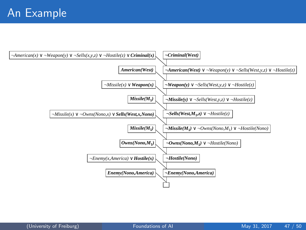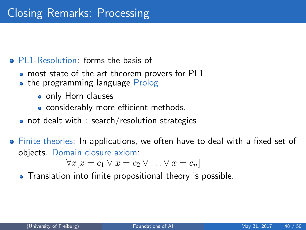### <span id="page-47-0"></span>• PL1-Resolution: forms the basis of

- most state of the art theorem provers for PL1
- the programming language Prolog
	- only Horn clauses
	- considerably more efficient methods.
- not dealt with : search/resolution strategies
- Finite theories: In applications, we often have to deal with a fixed set of objects. Domain closure axiom:

$$
\forall x[x = c_1 \lor x = c_2 \lor \dots \lor x = c_n]
$$

• Translation into finite propositional theory is possible.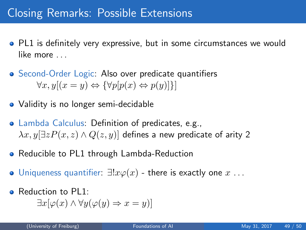## Closing Remarks: Possible Extensions

- PL1 is definitely very expressive, but in some circumstances we would like more ...
- Second-Order Logic: Also over predicate quantifiers  $\forall x, y[(x = y) \Leftrightarrow {\forall p[p(x) \Leftrightarrow p(y)]}]$
- Validity is no longer semi-decidable
- Lambda Calculus: Definition of predicates, e.g.,  $\lambda x. y \exists z P(x, z) \wedge Q(z, y)$  defines a new predicate of arity 2
- Reducible to PL1 through Lambda-Reduction
- $\bullet$  Uniqueness quantifier:  $\exists !x\varphi(x)$  there is exactly one  $x \dots$
- Reduction to PL1:

$$
\exists x[\varphi(x) \land \forall y(\varphi(y) \Rightarrow x = y)]
$$